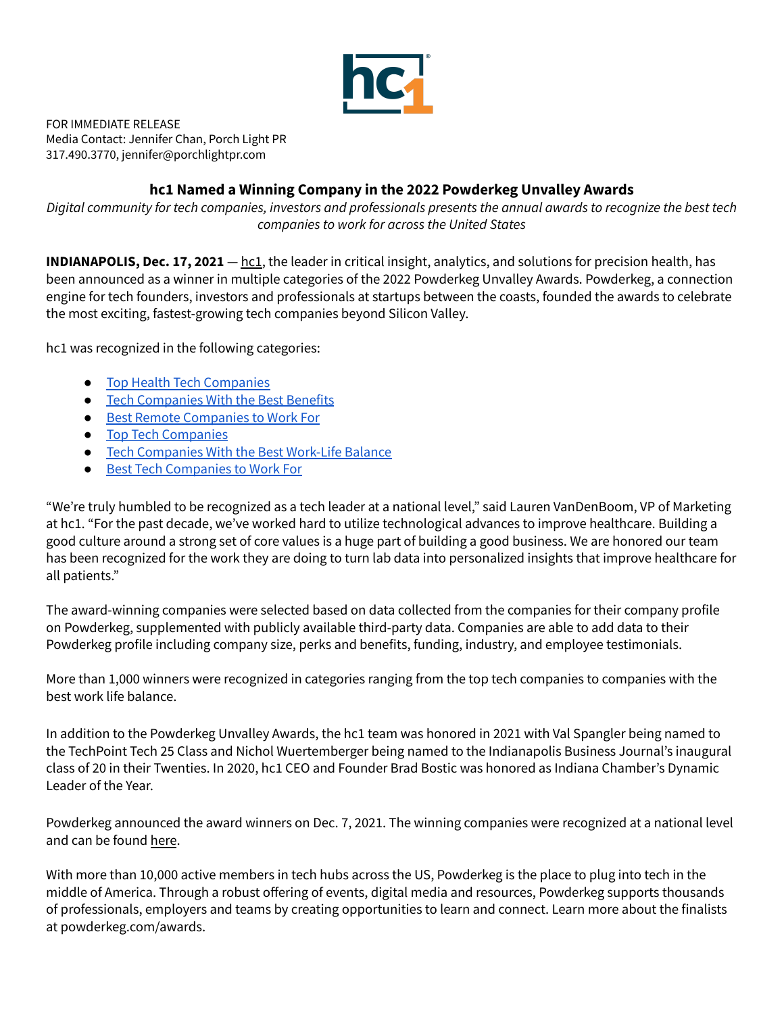

FOR IMMEDIATE RELEASE Media Contact: Jennifer Chan, Porch Light PR 317.490.3770, jennifer@porchlightpr.com

## **hc1 Named a Winning Company in the 2022 Powderkeg Unvalley Awards**

Digital community for tech companies, investors and professionals presents the annual awards to recognize the best tech *companies to work for across the United States*

**INDIANAPOLIS, Dec. 17, 2021** — [hc1,](https://www.hc1.com/) the leader in critical insight, analytics, and solutions for precision health, has been announced as a winner in multiple categories of the 2022 Powderkeg Unvalley Awards. Powderkeg, a connection engine for tech founders, investors and professionals at startups between the coasts, founded the awards to celebrate the most exciting, fastest-growing tech companies beyond Silicon Valley.

hc1 was recognized in the following categories:

- Top Health Tech [Companies](https://t.sidekickopen87.com/s3t/c/5/f18dQhb0S7kF8c7YTmW4YYwlC2zGCwVN8Jbw_8QsNH0W1yX4_j63RPdKW2zlZNz2mh904f197v5Y04?te=W3R5hFj4cm2zwW45SByF3K8QnDW3NBBqr3_rjpBW3F7s9_43TbtZW41S-6r1Ly6XQ4QtBq1&si=8000000017954552&pi=4efa4243-c288-4b01-c92e-ce324ca6b9de)
- Tech [Companies](https://t.sidekickopen87.com/s3t/c/5/f18dQhb0S7kF8c7YTmW4YYwlC2zGCwVN8Jbw_8QsNH0W1yX4_j63RPdKW2zlZNz2mh904f197v5Y04?te=W3R5hFj4cm2zwW45SByF3K8QnDW3NBBqr3_rjpBW3F7s9_43TbtZW41S-6r1LvF4mW4fdh-Q1GKhXCW3XtmcN49j0l9W4cQ9Yv3K76ZH4W2Qh1&si=8000000017954552&pi=4efa4243-c288-4b01-c92e-ce324ca6b9de) With the Best Benefits
- Best Remote [Companies](https://t.sidekickopen87.com/s3t/c/5/f18dQhb0S7kF8c7YTmW4YYwlC2zGCwVN8Jbw_8QsNH0W1yX4_j63RPdKW2zlZNz2mh904f197v5Y04?te=W3R5hFj4cm2zwW45SByF3K8QnDW3NBBqr3_rjpBW3F7s9_43TbtZW41S-6r1LvF4mW4fdh-Q1GKhXCW3XtmcN49j1M1W3_XYNV1GCVM62273&si=8000000017954552&pi=4efa4243-c288-4b01-c92e-ce324ca6b9de) to Work For
- Top Tech [Companies](https://t.sidekickopen87.com/s3t/c/5/f18dQhb0S7kF8c7YTmW4YYwlC2zGCwVN8Jbw_8QsNH0W1yX4_j63RPdKW2zlZNz2mh904f197v5Y04?te=W3R5hFj4cm2zwW45SByF3K8QnDW3NBBqr3_rjpBW3F7s9_43TbtZf41S-6rV3&si=8000000017954552&pi=4efa4243-c288-4b01-c92e-ce324ca6b9de)
- Tech [Companies](https://t.sidekickopen87.com/s3t/c/5/f18dQhb0S7kF8c7YTmW4YYwlC2zGCwVN8Jbw_8QsNH0W1yX4_j63RPdKW2zlZNz2mh904f197v5Y04?te=W3R5hFj4cm2zwW45SByF3K8QnDW3NBBqr3_rjpBW3F7s9_43TbtZW41S-6r1LvF4mW4fdh-Q1GKhXCW3XtmcN49j29XW49MW8R3SZ_8kW3C64W141Qtfp0&si=8000000017954552&pi=4efa4243-c288-4b01-c92e-ce324ca6b9de) With the Best Work-Life Balance
- Best Tech [Companies](https://t.sidekickopen87.com/s3t/c/5/f18dQhb0S7kF8c7YTmW4YYwlC2zGCwVN8Jbw_8QsNH0W1yX4_j63RPdKW2zlZNz2mh904f197v5Y04?te=W3R5hFj4cm2zwW45SByF3K8QnDW3NBBqr3_rjpBW3F7s9_43TbtZW41S-6r1LvF4mW4fdh-Q1GKhXCw3XtmcN48Y2&si=8000000017954552&pi=4efa4243-c288-4b01-c92e-ce324ca6b9de) to Work For

"We're truly humbled to be recognized as a tech leader at a national level," said Lauren VanDenBoom, VP of Marketing at hc1. "For the past decade, we've worked hard to utilize technological advances to improve healthcare. Building a good culture around a strong set of core values is a huge part of building a good business. We are honored our team has been recognized for the work they are doing to turn lab data into personalized insights that improve healthcare for all patients."

The award-winning companies were selected based on data collected from the companies for their company profile on Powderkeg, supplemented with publicly available third-party data. Companies are able to add data to their Powderkeg profile including company size, perks and benefits, funding, industry, and employee testimonials.

More than 1,000 winners were recognized in categories ranging from the top tech companies to companies with the best work life balance.

In addition to the Powderkeg Unvalley Awards, the hc1 team was honored in 2021 with Val Spangler being named to the TechPoint Tech 25 Class and Nichol Wuertemberger being named to the Indianapolis Business Journal's inaugural class of 20 in their Twenties. In 2020, hc1 CEO and Founder Brad Bostic was honored as Indiana Chamber's Dynamic Leader of the Year.

Powderkeg announced the award winners on Dec. 7, 2021. The winning companies were recognized at a national level and can be found [here](https://powderkeg.com/awards/).

With more than 10,000 active members in tech hubs across the US, Powderkeg is the place to plug into tech in the middle of America. Through a robust offering of events, digital media and resources, Powderkeg supports thousands of professionals, employers and teams by creating opportunities to learn and connect. Learn more about the finalists at powderkeg.com/awards.